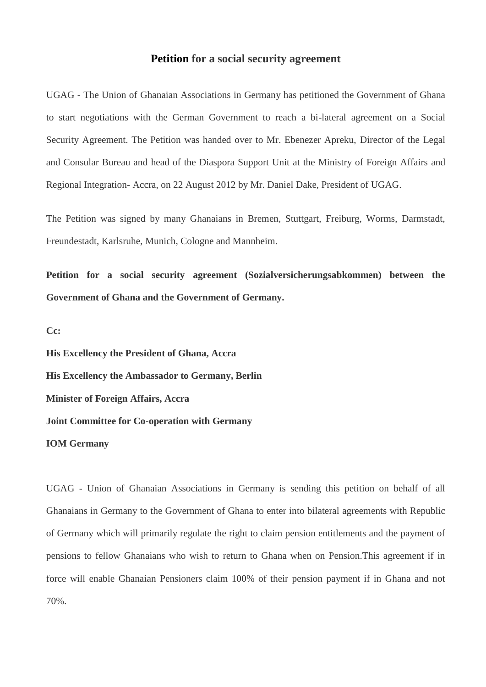## **Petition for a social security agreement**

UGAG - The Union of Ghanaian Associations in Germany has petitioned the Government of Ghana to start negotiations with the German Government to reach a bi-lateral agreement on a Social Security Agreement. The Petition was handed over to Mr. Ebenezer Apreku, Director of the Legal and Consular Bureau and head of the Diaspora Support Unit at the Ministry of Foreign Affairs and Regional Integration- Accra, on 22 August 2012 by Mr. Daniel Dake, President of UGAG.

The Petition was signed by many Ghanaians in Bremen, Stuttgart, Freiburg, Worms, Darmstadt, Freundestadt, Karlsruhe, Munich, Cologne and Mannheim.

**Petition for a social security agreement (Sozialversicherungsabkommen) between the Government of Ghana and the Government of Germany.**

**Cc:**

**His Excellency the President of Ghana, Accra His Excellency the Ambassador to Germany, Berlin Minister of Foreign Affairs, Accra Joint Committee for Co-operation with Germany IOM Germany**

UGAG - Union of Ghanaian Associations in Germany is sending this petition on behalf of all Ghanaians in Germany to the Government of Ghana to enter into bilateral agreements with Republic of Germany which will primarily regulate the right to claim pension entitlements and the payment of pensions to fellow Ghanaians who wish to return to Ghana when on Pension.This agreement if in force will enable Ghanaian Pensioners claim 100% of their pension payment if in Ghana and not 70%.